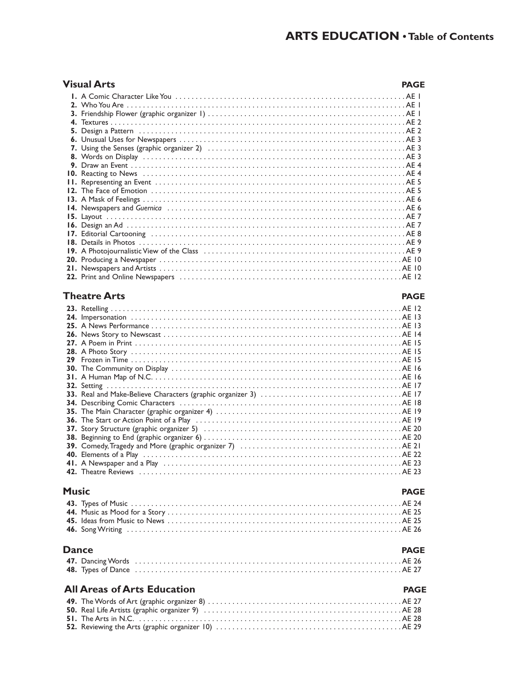| Visual Arts | <b>PAGE</b> |
|-------------|-------------|
|             |             |
|             |             |
|             |             |
|             |             |
|             |             |
|             |             |
|             |             |
|             |             |
|             |             |
|             |             |
|             |             |
|             |             |
|             |             |
|             |             |
|             |             |
|             |             |
|             |             |
|             |             |
|             |             |
|             |             |
|             |             |
|             |             |

#### **Theatre Arts PAGE**

#### **23.** Retelling . . . . . . . . . . . . . . . . . . . . . . . . . . . . . . . . . . . . . . . . . . . . . . . . . . . . . . . . . . . . . . . . . . . . . . . . AE 12 **24.** Impersonation . . . . . . . . . . . . . . . . . . . . . . . . . . . . . . . . . . . . . . . . . . . . . . . . . . . . . . . . . . . . . . . . . . . AE 13 **25.** A News Performance . . . . . . . . . . . . . . . . . . . . . . . . . . . . . . . . . . . . . . . . . . . . . . . . . . . . . . . . . . . . . . AE 13 **26.** News Story to Newscast . . . . . . . . . . . . . . . . . . . . . . . . . . . . . . . . . . . . . . . . . . . . . . . . . . . . . . . . . . . AE 14 **27.** A Poem in Print . . . . . . . . . . . . . . . . . . . . . . . . . . . . . . . . . . . . . . . . . . . . . . . . . . . . . . . . . . . . . . . . . . AE 15 **28.** A Photo Story . . . . . . . . . . . . . . . . . . . . . . . . . . . . . . . . . . . . . . . . . . . . . . . . . . . . . . . . . . . . . . . . . . . AE 15 **29** Frozen in Time . . . . . . . . . . . . . . . . . . . . . . . . . . . . . . . . . . . . . . . . . . . . . . . . . . . . . . . . . . . . . . . . . . . AE 15 **30.** The Community on Display . . . . . . . . . . . . . . . . . . . . . . . . . . . . . . . . . . . . . . . . . . . . . . . . . . . . . . . . . AE 16 **31.** A Human Map of N.C. . . . . . . . . . . . . . . . . . . . . . . . . . . . . . . . . . . . . . . . . . . . . . . . . . . . . . . . . . . . . . AE 16 **32.** Setting . . . . . . . . . . . . . . . . . . . . . . . . . . . . . . . . . . . . . . . . . . . . . . . . . . . . . . . . . . . . . . . . . . . . . . . . . AE 17 **33.** Real and Make-Believe Characters (graphic organizer 3) . . . . . . . . . . . . . . . . . . . . . . . . . . . . . . . . . . . AE 17 **34.** Describing Comic Characters . . . . . . . . . . . . . . . . . . . . . . . . . . . . . . . . . . . . . . . . . . . . . . . . . . . . . . . AE 18 **35.** The Main Character (graphic organizer 4) . . . . . . . . . . . . . . . . . . . . . . . . . . . . . . . . . . . . . . . . . . . . . . AE 19 **36.** The Start or Action Point of a Play . . . . . . . . . . . . . . . . . . . . . . . . . . . . . . . . . . . . . . . . . . . . . . . . . . . AE 19 **37.** Story Structure (graphic organizer 5) . . . . . . . . . . . . . . . . . . . . . . . . . . . . . . . . . . . . . . . . . . . . . . . . . AE 20 **38.** Beginning to End (graphic organizer 6) . . . . . . . . . . . . . . . . . . . . . . . . . . . . . . . . . . . . . . . . . . . . . . . . . AE 20 **39.** Comedy, Tragedy and More (graphic organizer 7)  $\ldots \ldots \ldots \ldots \ldots \ldots \ldots \ldots \ldots \ldots \ldots \ldots \mathsf{A} \mathsf{E}$  21 **40.** Elements of a Play . . . . . . . . . . . . . . . . . . . . . . . . . . . . . . . . . . . . . . . . . . . . . . . . . . . . . . . . . . . . . . . . AE 22 **41.** A Newspaper and a Play . . . . . . . . . . . . . . . . . . . . . . . . . . . . . . . . . . . . . . . . . . . . . . . . . . . . . . . . . . . AE 23 **42.** Theatre Reviews . . . . . . . . . . . . . . . . . . . . . . . . . . . . . . . . . . . . . . . . . . . . . . . . . . . . . . . . . . . . . . . . . AE 23

| Music |  |  |
|-------|--|--|
|       |  |  |
|       |  |  |

| <b>Dance</b> | <b>PAGE</b> |
|--------------|-------------|
|              |             |
|              |             |

#### **All Areas of Arts Education PAGE**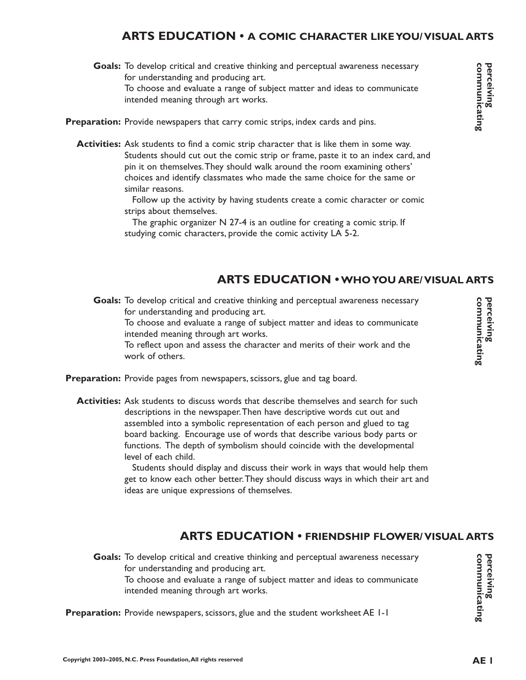# **ARTS EDUCATION • A COMIC CHARACTER LIKE YOU/ VISUAL ARTS**

- Goals: To develop critical and creative thinking and perceptual awareness necessary for understanding and producing art. To choose and evaluate a range of subject matter and ideas to communicate intended meaning through art works.
- Preparation: Provide newspapers that carry comic strips, index cards and pins.
	- **Activities:** Ask students to find a comic strip character that is like them in some way. Students should cut out the comic strip or frame, paste it to an index card, and pin it on themselves.They should walk around the room examining others' choices and identify classmates who made the same choice for the same or similar reasons.

Follow up the activity by having students create a comic character or comic strips about themselves.

The graphic organizer N 27-4 is an outline for creating a comic strip. If studying comic characters, provide the comic activity LA 5-2.

# **ARTS EDUCATION •WHO YOU ARE/ VISUAL ARTS**

Goals: To develop critical and creative thinking and perceptual awareness necessary for understanding and producing art. To choose and evaluate a range of subject matter and ideas to communicate intended meaning through art works.

To reflect upon and assess the character and merits of their work and the work of others.

- Preparation: Provide pages from newspapers, scissors, glue and tag board.
	- Activities: Ask students to discuss words that describe themselves and search for such descriptions in the newspaper.Then have descriptive words cut out and assembled into a symbolic representation of each person and glued to tag board backing. Encourage use of words that describe various body parts or functions. The depth of symbolism should coincide with the developmental level of each child.

Students should display and discuss their work in ways that would help them get to know each other better.They should discuss ways in which their art and ideas are unique expressions of themselves.

#### **ARTS EDUCATION • FRIENDSHIP FLOWER/ VISUAL ARTS**

Goals: To develop critical and creative thinking and perceptual awareness necessary for understanding and producing art. To choose and evaluate a range of subject matter and ideas to communicate intended meaning through art works.

**Preparation:** Provide newspapers, scissors, glue and the student worksheet AE 1-1

**communicating perceiving**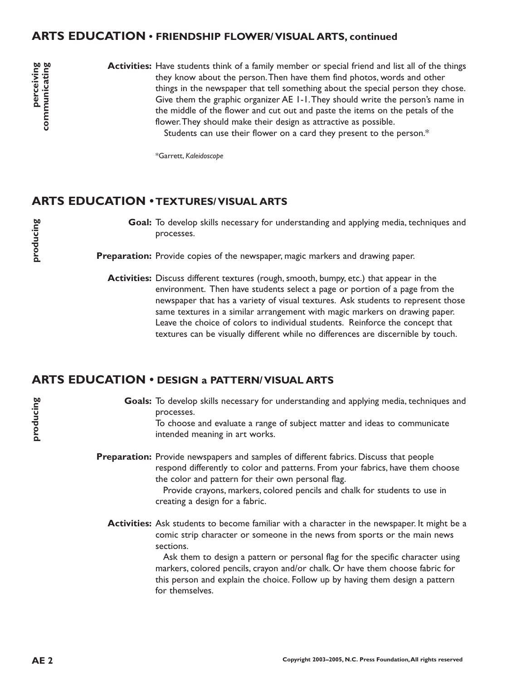#### **ARTS EDUCATION • FRIENDSHIP FLOWER/ VISUAL ARTS, continued**

perceiving<br>communicating **AE AE Celucing AE CEP CEP CEP CEP CEP CEP CEP CEP CEP CEP CEP CEP CEP CEP CEP CEP**  Activities: Have students think of a family member or special friend and list all of the things they know about the person.Then have them find photos, words and other things in the newspaper that tell something about the special person they chose. Give them the graphic organizer AE 1-1.They should write the person's name in the middle of the flower and cut out and paste the items on the petals of the flower.They should make their design as attractive as possible. Students can use their flower on a card they present to the person.\*

\*Garrett, *Kaleidoscope*

#### **ARTS EDUCATION • TEXTURES/ VISUAL ARTS**

**producing**

**producing**

Goal: To develop skills necessary for understanding and applying media, techniques and processes.

Preparation: Provide copies of the newspaper, magic markers and drawing paper.

**Activities:** Discuss different textures (rough, smooth, bumpy, etc.) that appear in the environment. Then have students select a page or portion of a page from the newspaper that has a variety of visual textures. Ask students to represent those same textures in a similar arrangement with magic markers on drawing paper. Leave the choice of colors to individual students. Reinforce the concept that textures can be visually different while no differences are discernible by touch.

#### **ARTS EDUCATION • DESIGN a PATTERN/ VISUAL ARTS**

Goals: To develop skills necessary for understanding and applying media, techniques and processes.

To choose and evaluate a range of subject matter and ideas to communicate intended meaning in art works.

Preparation: Provide newspapers and samples of different fabrics. Discuss that people respond differently to color and patterns. From your fabrics, have them choose the color and pattern for their own personal flag.

> Provide crayons, markers, colored pencils and chalk for students to use in creating a design for a fabric.

**Activities:** Ask students to become familiar with a character in the newspaper. It might be a comic strip character or someone in the news from sports or the main news sections.

> Ask them to design a pattern or personal flag for the specific character using markers, colored pencils, crayon and/or chalk. Or have them choose fabric for this person and explain the choice. Follow up by having them design a pattern for themselves.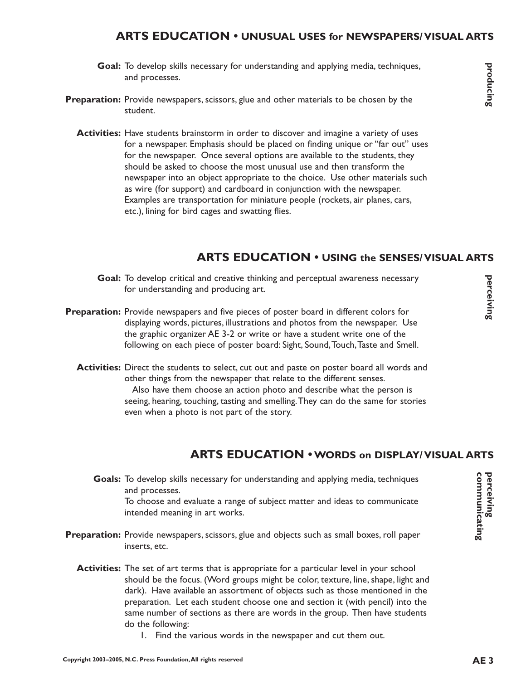#### **ARTS EDUCATION • UNUSUAL USES for NEWSPAPERS/ VISUAL ARTS**

- Goal: To develop skills necessary for understanding and applying media, techniques, and processes.
- Preparation: Provide newspapers, scissors, glue and other materials to be chosen by the student.
	- Activities: Have students brainstorm in order to discover and imagine a variety of uses for a newspaper. Emphasis should be placed on finding unique or "far out" uses for the newspaper. Once several options are available to the students, they should be asked to choose the most unusual use and then transform the newspaper into an object appropriate to the choice. Use other materials such as wire (for support) and cardboard in conjunction with the newspaper. Examples are transportation for miniature people (rockets, air planes, cars, etc.), lining for bird cages and swatting flies.

#### **ARTS EDUCATION • USING the SENSES/ VISUAL ARTS**

- Goal: To develop critical and creative thinking and perceptual awareness necessary for understanding and producing art.
- **Preparation:** Provide newspapers and five pieces of poster board in different colors for displaying words, pictures, illustrations and photos from the newspaper. Use the graphic organizer AE 3-2 or write or have a student write one of the following on each piece of poster board: Sight, Sound,Touch,Taste and Smell.
	- Activities: Direct the students to select, cut out and paste on poster board all words and other things from the newspaper that relate to the different senses. Also have them choose an action photo and describe what the person is seeing, hearing, touching, tasting and smelling.They can do the same for stories even when a photo is not part of the story.

#### **ARTS EDUCATION •WORDS on DISPLAY/ VISUAL ARTS**

- Goals: To develop skills necessary for understanding and applying media, techniques and processes. To choose and evaluate a range of subject matter and ideas to communicate intended meaning in art works.
- Preparation: Provide newspapers, scissors, glue and objects such as small boxes, roll paper inserts, etc.
	- Activities: The set of art terms that is appropriate for a particular level in your school should be the focus. (Word groups might be color, texture, line, shape, light and dark). Have available an assortment of objects such as those mentioned in the preparation. Let each student choose one and section it (with pencil) into the same number of sections as there are words in the group. Then have students do the following:
		- 1. Find the various words in the newspaper and cut them out.

producing

**perceiving**

perceiving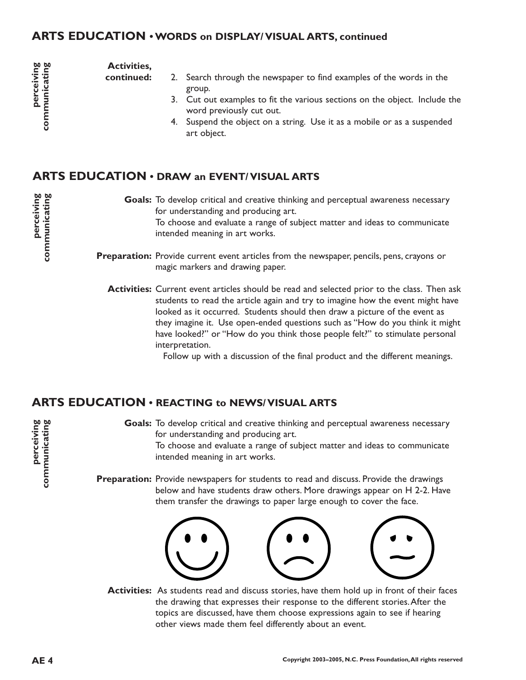#### **ARTS EDUCATION • WORDS on DISPLAY/ VISUAL ARTS, continued**

perceiving communicating **A**<br>**AE 4 Communicating**<br>**Communicating**<br>**AE 4 Communicating**<br>**Communicating** 

**perceiving communicating**

**Activities, continued:**

- 2. Search through the newspaper to find examples of the words in the group.
	- 3. Cut out examples to fit the various sections on the object. Include the word previously cut out.
	- 4. Suspend the object on a string. Use it as a mobile or as a suspended art object.

# **ARTS EDUCATION • DRAW an EVENT/ VISUAL ARTS**

Goals: To develop critical and creative thinking and perceptual awareness necessary for understanding and producing art. To choose and evaluate a range of subject matter and ideas to communicate intended meaning in art works.

Preparation: Provide current event articles from the newspaper, pencils, pens, crayons or magic markers and drawing paper.

**Activities:** Current event articles should be read and selected prior to the class. Then ask students to read the article again and try to imagine how the event might have looked as it occurred. Students should then draw a picture of the event as they imagine it. Use open-ended questions such as "How do you think it might have looked?" or "How do you think those people felt?" to stimulate personal interpretation.

Follow up with a discussion of the final product and the different meanings.

#### **ARTS EDUCATION • REACTING to NEWS/ VISUAL ARTS**

Goals: To develop critical and creative thinking and perceptual awareness necessary for understanding and producing art. To choose and evaluate a range of subject matter and ideas to communicate intended meaning in art works.

Preparation: Provide newspapers for students to read and discuss. Provide the drawings below and have students draw others. More drawings appear on H 2-2. Have them transfer the drawings to paper large enough to cover the face.



**Activities:** As students read and discuss stories, have them hold up in front of their faces the drawing that expresses their response to the different stories.After the topics are discussed, have them choose expressions again to see if hearing other views made them feel differently about an event.

**perceiving communicating**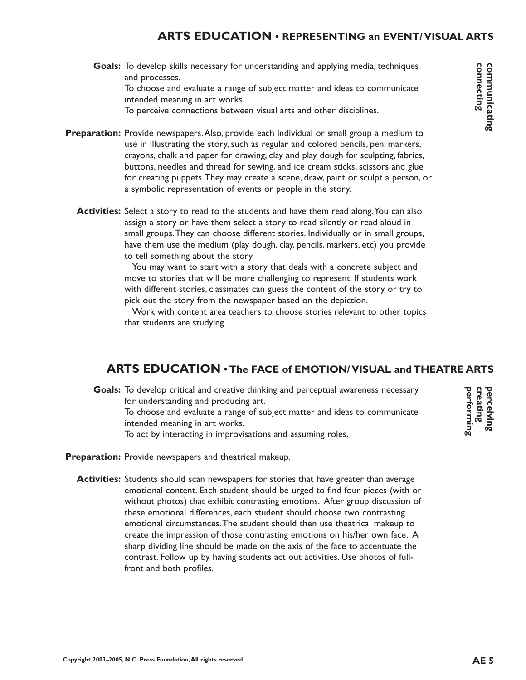# **ARTS EDUCATION • REPRESENTING an EVENT/ VISUAL ARTS**

Goals: To develop skills necessary for understanding and applying media, techniques and processes. To choose and evaluate a range of subject matter and ideas to communicate intended meaning in art works.

To perceive connections between visual arts and other disciplines.

- Preparation: Provide newspapers. Also, provide each individual or small group a medium to use in illustrating the story, such as regular and colored pencils, pen, markers, crayons, chalk and paper for drawing, clay and play dough for sculpting, fabrics, buttons, needles and thread for sewing, and ice cream sticks, scissors and glue for creating puppets.They may create a scene, draw, paint or sculpt a person, or a symbolic representation of events or people in the story.
	- **Activities:** Select a story to read to the students and have them read along.You can also assign a story or have them select a story to read silently or read aloud in small groups.They can choose different stories. Individually or in small groups, have them use the medium (play dough, clay, pencils, markers, etc) you provide to tell something about the story.

You may want to start with a story that deals with a concrete subject and move to stories that will be more challenging to represent. If students work with different stories, classmates can guess the content of the story or try to pick out the story from the newspaper based on the depiction.

Work with content area teachers to choose stories relevant to other topics that students are studying.

#### **ARTS EDUCATION • The FACE of EMOTION/ VISUAL and THEATRE ARTS**

Goals: To develop critical and creative thinking and perceptual awareness necessary for understanding and producing art.

To choose and evaluate a range of subject matter and ideas to communicate intended meaning in art works.

To act by interacting in improvisations and assuming roles.

Preparation: Provide newspapers and theatrical makeup.

**Activities:** Students should scan newspapers for stories that have greater than average emotional content. Each student should be urged to find four pieces (with or without photos) that exhibit contrasting emotions. After group discussion of these emotional differences, each student should choose two contrasting emotional circumstances.The student should then use theatrical makeup to create the impression of those contrasting emotions on his/her own face. A sharp dividing line should be made on the axis of the face to accentuate the contrast. Follow up by having students act out activities. Use photos of fullfront and both profiles.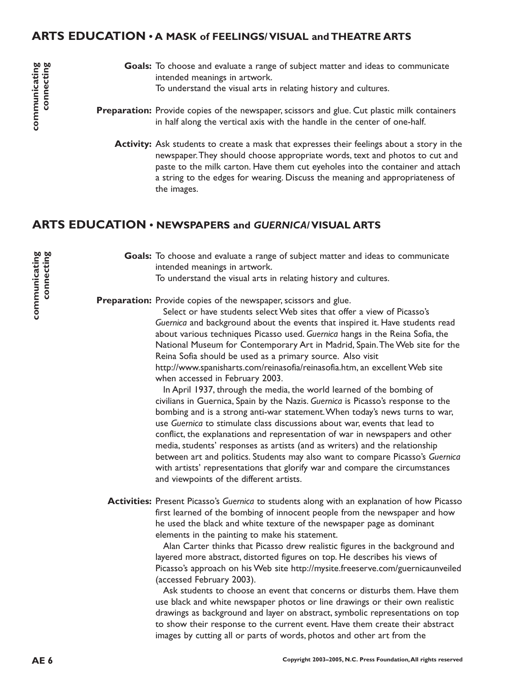#### **ARTS EDUCATION • A MASK of FEELINGS/ VISUAL and THEATRE ARTS**

- Goals: To choose and evaluate a range of subject matter and ideas to communicate intended meanings in artwork. To understand the visual arts in relating history and cultures.
- **Preparation:** Provide copies of the newspaper, scissors and glue. Cut plastic milk containers in half along the vertical axis with the handle in the center of one-half.
	- **Activity:** Ask students to create a mask that expresses their feelings about a story in the newspaper.They should choose appropriate words, text and photos to cut and paste to the milk carton. Have them cut eyeholes into the container and attach a string to the edges for wearing. Discuss the meaning and appropriateness of the images.

#### **ARTS EDUCATION • NEWSPAPERS and** *GUERNICA/* **VISUAL ARTS**

Goals: To choose and evaluate a range of subject matter and ideas to communicate intended meanings in artwork. To understand the visual arts in relating history and cultures.

Preparation: Provide copies of the newspaper, scissors and glue.

Select or have students select Web sites that offer a view of Picasso's *Guernica* and background about the events that inspired it. Have students read about various techniques Picasso used. *Guernica* hangs in the Reina Sofia, the National Museum for Contemporary Art in Madrid, Spain.The Web site for the Reina Sofia should be used as a primary source. Also visit http://www.spanisharts.com/reinasofia/reinasofia.htm, an excellent Web site when accessed in February 2003.

In April 1937, through the media, the world learned of the bombing of civilians in Guernica, Spain by the Nazis. *Guernica* is Picasso's response to the bombing and is a strong anti-war statement.When today's news turns to war, use *Guernica* to stimulate class discussions about war, events that lead to conflict, the explanations and representation of war in newspapers and other media, students' responses as artists (and as writers) and the relationship between art and politics. Students may also want to compare Picasso's *Guernica* with artists' representations that glorify war and compare the circumstances and viewpoints of the different artists.

Activities: Present Picasso's Guernica to students along with an explanation of how Picasso first learned of the bombing of innocent people from the newspaper and how he used the black and white texture of the newspaper page as dominant elements in the painting to make his statement.

> Alan Carter thinks that Picasso drew realistic figures in the background and layered more abstract, distorted figures on top. He describes his views of Picasso's approach on his Web site http://mysite.freeserve.com/guernicaunveiled (accessed February 2003).

> Ask students to choose an event that concerns or disturbs them. Have them use black and white newspaper photos or line drawings or their own realistic drawings as background and layer on abstract, symbolic representations on top to show their response to the current event. Have them create their abstract images by cutting all or parts of words, photos and other art from the

communicating<br>connecting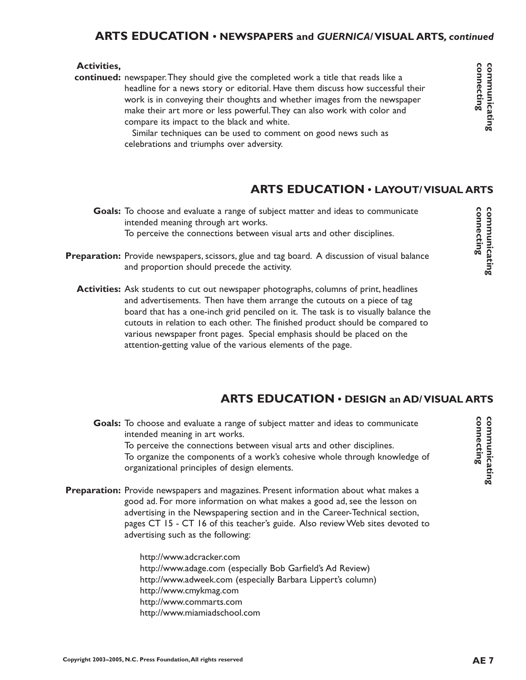#### **ARTS EDUCATION • NEWSPAPERS and** *GUERNICA/* **VISUAL ARTS***, continued*

#### **Activities,**

continued: newspaper. They should give the completed work a title that reads like a headline for a news story or editorial. Have them discuss how successful their work is in conveying their thoughts and whether images from the newspaper make their art more or less powerful.They can also work with color and compare its impact to the black and white.

Similar techniques can be used to comment on good news such as celebrations and triumphs over adversity.

# **ARTS EDUCATION • LAYOUT/ VISUAL ARTS**

- Goals: To choose and evaluate a range of subject matter and ideas to communicate intended meaning through art works. To perceive the connections between visual arts and other disciplines.
- Preparation: Provide newspapers, scissors, glue and tag board. A discussion of visual balance and proportion should precede the activity.
	- **Activities:** Ask students to cut out newspaper photographs, columns of print, headlines and advertisements. Then have them arrange the cutouts on a piece of tag board that has a one-inch grid penciled on it. The task is to visually balance the cutouts in relation to each other. The finished product should be compared to various newspaper front pages. Special emphasis should be placed on the attention-getting value of the various elements of the page.

#### **ARTS EDUCATION • DESIGN an AD/ VISUAL ARTS**

Goals: To choose and evaluate a range of subject matter and ideas to communicate intended meaning in art works. To perceive the connections between visual arts and other disciplines. To organize the components of a work's cohesive whole through knowledge of organizational principles of design elements.

Preparation: Provide newspapers and magazines. Present information about what makes a good ad. For more information on what makes a good ad, see the lesson on advertising in the Newspapering section and in the Career-Technical section, pages CT 15 - CT 16 of this teacher's guide. Also review Web sites devoted to advertising such as the following:

> http://www.adcracker.com http://www.adage.com (especially Bob Garfield's Ad Review) http://www.adweek.com (especially Barbara Lippert's column) http://www.cmykmag.com http://www.commarts.com http://www.miamiadschool.com

**connecting communicating**

connecting communicating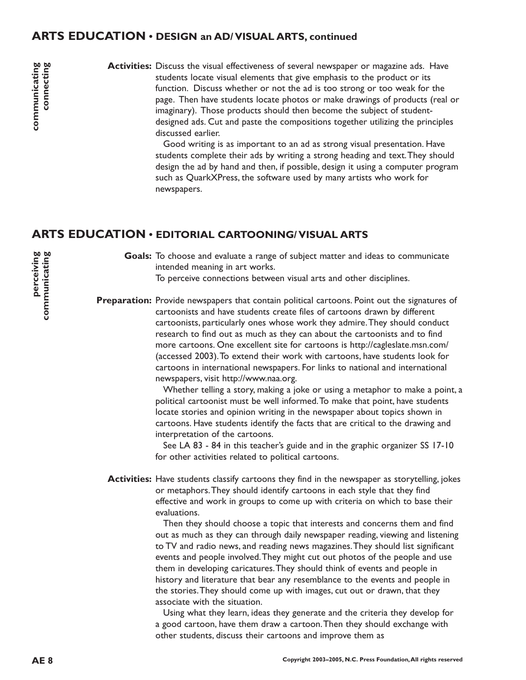#### **ARTS EDUCATION • DESIGN an AD/ VISUAL ARTS, continued**

Activities: Discuss the visual effectiveness of several newspaper or magazine ads. Have students locate visual elements that give emphasis to the product or its function. Discuss whether or not the ad is too strong or too weak for the page. Then have students locate photos or make drawings of products (real or imaginary). Those products should then become the subject of studentdesigned ads. Cut and paste the compositions together utilizing the principles discussed earlier.

> Good writing is as important to an ad as strong visual presentation. Have students complete their ads by writing a strong heading and text.They should design the ad by hand and then, if possible, design it using a computer program such as QuarkXPress, the software used by many artists who work for newspapers.

#### **ARTS EDUCATION • EDITORIAL CARTOONING/ VISUAL ARTS**

Goals: To choose and evaluate a range of subject matter and ideas to communicate intended meaning in art works. To perceive connections between visual arts and other disciplines.

Preparation: Provide newspapers that contain political cartoons. Point out the signatures of cartoonists and have students create files of cartoons drawn by different cartoonists, particularly ones whose work they admire.They should conduct research to find out as much as they can about the cartoonists and to find more cartoons. One excellent site for cartoons is http://cagleslate.msn.com/ (accessed 2003).To extend their work with cartoons, have students look for cartoons in international newspapers. For links to national and international newspapers, visit http://www.naa.org.

> Whether telling a story, making a joke or using a metaphor to make a point, a political cartoonist must be well informed.To make that point, have students locate stories and opinion writing in the newspaper about topics shown in cartoons. Have students identify the facts that are critical to the drawing and interpretation of the cartoons.

See LA 83 - 84 in this teacher's guide and in the graphic organizer SS 17-10 for other activities related to political cartoons.

**Activities:** Have students classify cartoons they find in the newspaper as storytelling, jokes or metaphors.They should identify cartoons in each style that they find effective and work in groups to come up with criteria on which to base their evaluations.

> Then they should choose a topic that interests and concerns them and find out as much as they can through daily newspaper reading, viewing and listening to TV and radio news, and reading news magazines.They should list significant events and people involved.They might cut out photos of the people and use them in developing caricatures.They should think of events and people in history and literature that bear any resemblance to the events and people in the stories.They should come up with images, cut out or drawn, that they associate with the situation.

Using what they learn, ideas they generate and the criteria they develop for a good cartoon, have them draw a cartoon.Then they should exchange with other students, discuss their cartoons and improve them as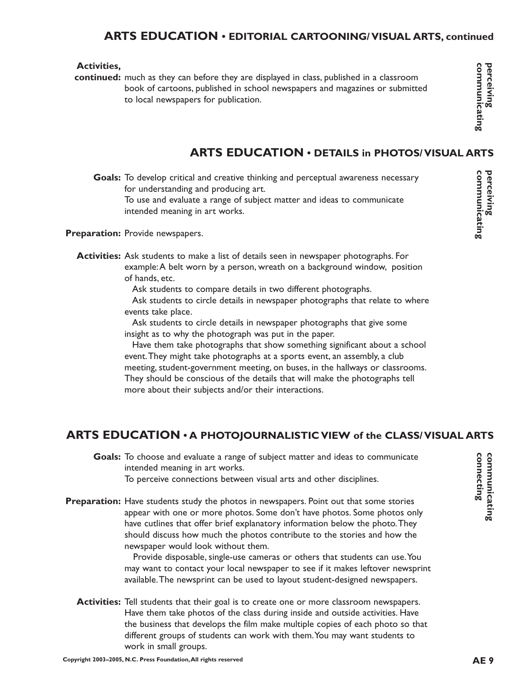#### **ARTS EDUCATION • EDITORIAL CARTOONING/ VISUAL ARTS, continued**

#### **Activities,**

continued: much as they can before they are displayed in class, published in a classroom book of cartoons, published in school newspapers and magazines or submitted to local newspapers for publication.

# **ARTS EDUCATION • DETAILS in PHOTOS/ VISUAL ARTS**

Goals: To develop critical and creative thinking and perceptual awareness necessary for understanding and producing art.

To use and evaluate a range of subject matter and ideas to communicate intended meaning in art works.

Preparation: Provide newspapers.

**Activities:** Ask students to make a list of details seen in newspaper photographs. For example:A belt worn by a person, wreath on a background window, position of hands, etc.

Ask students to compare details in two different photographs.

Ask students to circle details in newspaper photographs that relate to where events take place.

Ask students to circle details in newspaper photographs that give some insight as to why the photograph was put in the paper.

Have them take photographs that show something significant about a school event.They might take photographs at a sports event, an assembly, a club meeting, student-government meeting, on buses, in the hallways or classrooms. They should be conscious of the details that will make the photographs tell more about their subjects and/or their interactions.

#### **ARTS EDUCATION • A PHOTOJOURNALISTIC VIEW of the CLASS/ VISUAL ARTS**

Goals: To choose and evaluate a range of subject matter and ideas to communicate intended meaning in art works.

To perceive connections between visual arts and other disciplines.

Preparation: Have students study the photos in newspapers. Point out that some stories appear with one or more photos. Some don't have photos. Some photos only have cutlines that offer brief explanatory information below the photo.They should discuss how much the photos contribute to the stories and how the newspaper would look without them.

> Provide disposable, single-use cameras or others that students can use.You may want to contact your local newspaper to see if it makes leftover newsprint available.The newsprint can be used to layout student-designed newspapers.

Activities: Tell students that their goal is to create one or more classroom newspapers. Have them take photos of the class during inside and outside activities. Have the business that develops the film make multiple copies of each photo so that different groups of students can work with them.You may want students to work in small groups.

perceiving<br>communicating

**connecting communicating**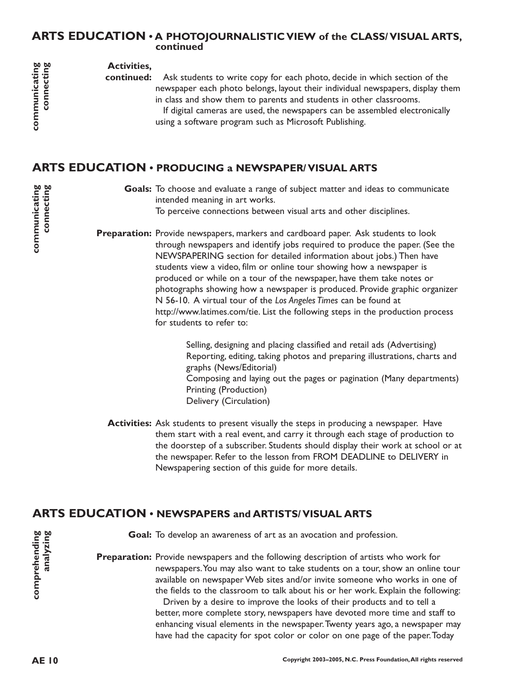#### **ARTS EDUCATION • A PHOTOJOURNALISTIC VIEW of the CLASS/ VISUAL ARTS, continued**

**Activities,**

Ask students to write copy for each photo, decide in which section of the newspaper each photo belongs, layout their individual newspapers, display them in class and show them to parents and students in other classrooms. **continued:**

> If digital cameras are used, the newspapers can be assembled electronically using a software program such as Microsoft Publishing.

# **ARTS EDUCATION • PRODUCING a NEWSPAPER/ VISUAL ARTS**

Goals: To choose and evaluate a range of subject matter and ideas to communicate intended meaning in art works.

To perceive connections between visual arts and other disciplines.

Preparation: Provide newspapers, markers and cardboard paper. Ask students to look through newspapers and identify jobs required to produce the paper. (See the NEWSPAPERING section for detailed information about jobs.) Then have students view a video, film or online tour showing how a newspaper is produced or while on a tour of the newspaper, have them take notes or photographs showing how a newspaper is produced. Provide graphic organizer N 56-10. A virtual tour of the *Los Angeles Times* can be found at http://www.latimes.com/tie. List the following steps in the production process for students to refer to:

> Selling, designing and placing classified and retail ads (Advertising) Reporting, editing, taking photos and preparing illustrations, charts and graphs (News/Editorial) Composing and laying out the pages or pagination (Many departments) Printing (Production) Delivery (Circulation)

**Activities:** Ask students to present visually the steps in producing a newspaper. Have them start with a real event, and carry it through each stage of production to the doorstep of a subscriber. Students should display their work at school or at the newspaper. Refer to the lesson from FROM DEADLINE to DELIVERY in Newspapering section of this guide for more details.

#### **ARTS EDUCATION • NEWSPAPERS and ARTISTS/ VISUAL ARTS**

Goal: To develop an awareness of art as an avocation and profession.

Preparation: Provide newspapers and the following description of artists who work for newspapers.You may also want to take students on a tour, show an online tour available on newspaper Web sites and/or invite someone who works in one of the fields to the classroom to talk about his or her work. Explain the following:

Driven by a desire to improve the looks of their products and to tell a better, more complete story, newspapers have devoted more time and staff to enhancing visual elements in the newspaper.Twenty years ago, a newspaper may have had the capacity for spot color or color on one page of the paper.Today

**A**<br>**AE 10 comprehending** ART analyzing ART analyzing analyzing analyzing analyzing analyzing connecting analyzing analyzing analyzing analyzing analyzing analyzing analyzing analyzing analyzing analyzing analyzing analy **communicating connecting**

communicating<br>connecting

**comprehending analyzing**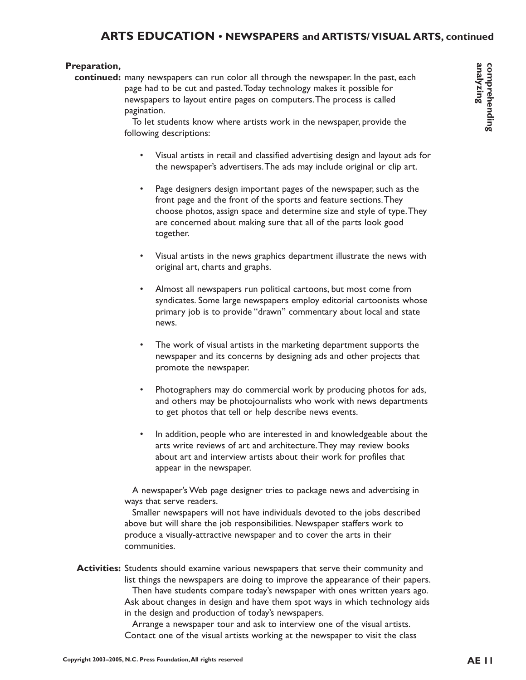#### **ARTS EDUCATION • NEWSPAPERS and ARTISTS/ VISUAL ARTS, continued**

#### **Preparation,**

continued: many newspapers can run color all through the newspaper. In the past, each page had to be cut and pasted.Today technology makes it possible for newspapers to layout entire pages on computers.The process is called pagination.

> To let students know where artists work in the newspaper, provide the following descriptions:

- Visual artists in retail and classified advertising design and layout ads for the newspaper's advertisers.The ads may include original or clip art.
- Page designers design important pages of the newspaper, such as the front page and the front of the sports and feature sections.They choose photos, assign space and determine size and style of type.They are concerned about making sure that all of the parts look good together.
- Visual artists in the news graphics department illustrate the news with original art, charts and graphs.
- Almost all newspapers run political cartoons, but most come from syndicates. Some large newspapers employ editorial cartoonists whose primary job is to provide "drawn" commentary about local and state news.
- The work of visual artists in the marketing department supports the newspaper and its concerns by designing ads and other projects that promote the newspaper.
- Photographers may do commercial work by producing photos for ads, and others may be photojournalists who work with news departments to get photos that tell or help describe news events.
- In addition, people who are interested in and knowledgeable about the arts write reviews of art and architecture.They may review books about art and interview artists about their work for profiles that appear in the newspaper.

A newspaper's Web page designer tries to package news and advertising in ways that serve readers.

Smaller newspapers will not have individuals devoted to the jobs described above but will share the job responsibilities. Newspaper staffers work to produce a visually-attractive newspaper and to cover the arts in their communities.

Activities: Students should examine various newspapers that serve their community and list things the newspapers are doing to improve the appearance of their papers.

Then have students compare today's newspaper with ones written years ago. Ask about changes in design and have them spot ways in which technology aids in the design and production of today's newspapers.

Arrange a newspaper tour and ask to interview one of the visual artists. Contact one of the visual artists working at the newspaper to visit the class comprehending<br>analyzing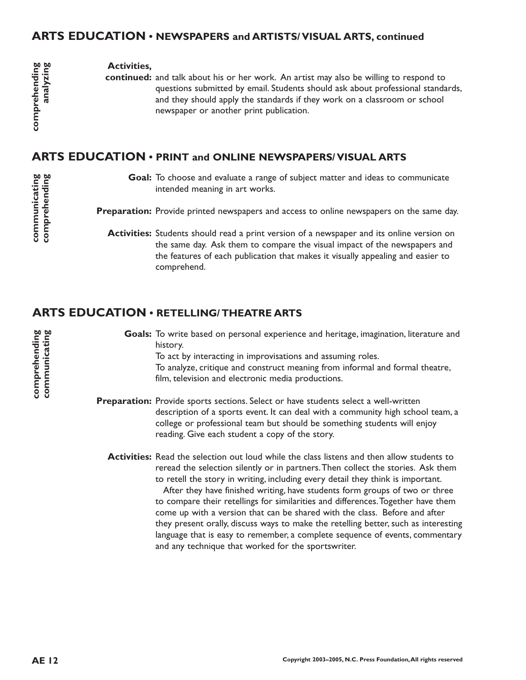#### **ARTS EDUCATION • NEWSPAPERS and ARTISTS/ VISUAL ARTS, continued**

#### **Activities,**

continued: and talk about his or her work. An artist may also be willing to respond to questions submitted by email. Students should ask about professional standards, and they should apply the standards if they work on a classroom or school newspaper or another print publication.

#### **ARTS EDUCATION • PRINT and ONLINE NEWSPAPERS/ VISUAL ARTS**

- Goal: To choose and evaluate a range of subject matter and ideas to communicate intended meaning in art works.
- Preparation: Provide printed newspapers and access to online newspapers on the same day.
	- Activities: Students should read a print version of a newspaper and its online version on the same day. Ask them to compare the visual impact of the newspapers and the features of each publication that makes it visually appealing and easier to comprehend.

#### **ARTS EDUCATION • RETELLING/ THEATRE ARTS**

Goals: To write based on personal experience and heritage, imagination, literature and history. To act by interacting in improvisations and assuming roles. To analyze, critique and construct meaning from informal and formal theatre, film, television and electronic media productions.

Preparation: Provide sports sections. Select or have students select a well-written description of a sports event. It can deal with a community high school team, a college or professional team but should be something students will enjoy reading. Give each student a copy of the story.

**Activities:** Read the selection out loud while the class listens and then allow students to reread the selection silently or in partners.Then collect the stories. Ask them to retell the story in writing, including every detail they think is important. After they have finished writing, have students form groups of two or three to compare their retellings for similarities and differences.Together have them come up with a version that can be shared with the class. Before and after they present orally, discuss ways to make the retelling better, such as interesting language that is easy to remember, a complete sequence of events, commentary and any technique that worked for the sportswriter.

comprehending<br>analyzing

**comprehending communicating**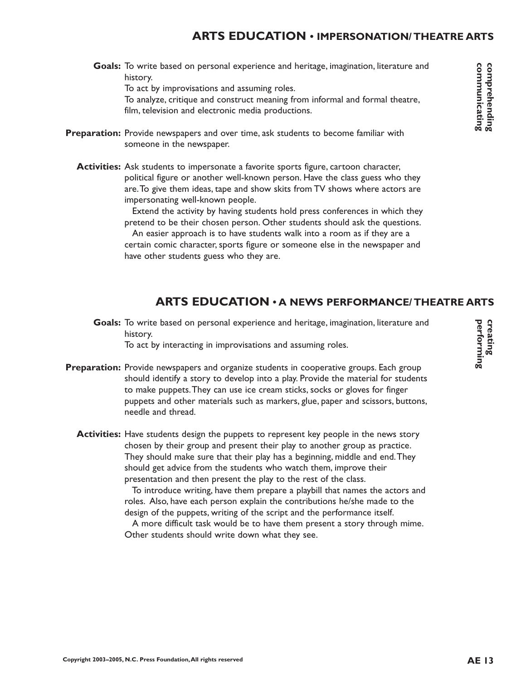# **ARTS EDUCATION • IMPERSONATION/ THEATRE ARTS**

Goals: To write based on personal experience and heritage, imagination, literature and history.

To act by improvisations and assuming roles.

To analyze, critique and construct meaning from informal and formal theatre, film, television and electronic media productions.

- Preparation: Provide newspapers and over time, ask students to become familiar with someone in the newspaper.
	- **Activities:** Ask students to impersonate a favorite sports figure, cartoon character, political figure or another well-known person. Have the class guess who they are.To give them ideas, tape and show skits from TV shows where actors are impersonating well-known people.

Extend the activity by having students hold press conferences in which they pretend to be their chosen person. Other students should ask the questions.

An easier approach is to have students walk into a room as if they are a certain comic character, sports figure or someone else in the newspaper and have other students guess who they are.

# **ARTS EDUCATION • A NEWS PERFORMANCE/ THEATRE ARTS**

Goals: To write based on personal experience and heritage, imagination, literature and history.

To act by interacting in improvisations and assuming roles.

- Preparation: Provide newspapers and organize students in cooperative groups. Each group should identify a story to develop into a play. Provide the material for students to make puppets.They can use ice cream sticks, socks or gloves for finger puppets and other materials such as markers, glue, paper and scissors, buttons, needle and thread.
	- Activities: Have students design the puppets to represent key people in the news story chosen by their group and present their play to another group as practice. They should make sure that their play has a beginning, middle and end.They should get advice from the students who watch them, improve their presentation and then present the play to the rest of the class.

To introduce writing, have them prepare a playbill that names the actors and roles. Also, have each person explain the contributions he/she made to the design of the puppets, writing of the script and the performance itself.

A more difficult task would be to have them present a story through mime. Other students should write down what they see.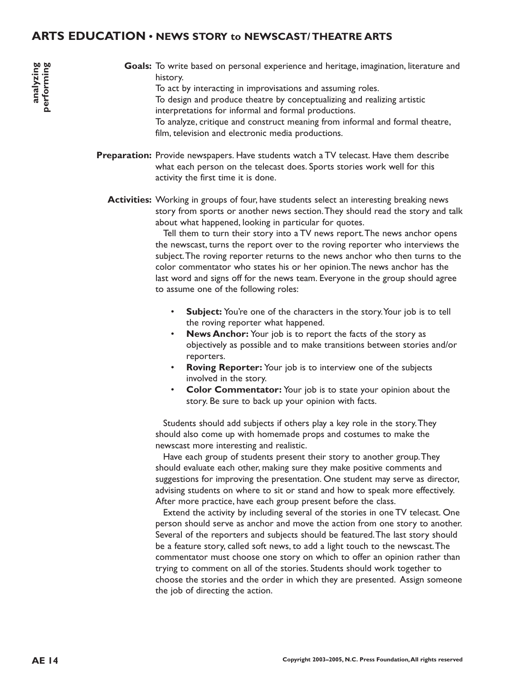### **ARTS EDUCATION • NEWS STORY to NEWSCAST/ THEATRE ARTS**

Goals: To write based on personal experience and heritage, imagination, literature and history. To act by interacting in improvisations and assuming roles. To design and produce theatre by conceptualizing and realizing artistic interpretations for informal and formal productions. To analyze, critique and construct meaning from informal and formal theatre,

film, television and electronic media productions.

- **Preparation:** Provide newspapers. Have students watch a TV telecast. Have them describe what each person on the telecast does. Sports stories work well for this activity the first time it is done.
	- Activities: Working in groups of four, have students select an interesting breaking news story from sports or another news section.They should read the story and talk about what happened, looking in particular for quotes.

Tell them to turn their story into a TV news report.The news anchor opens the newscast, turns the report over to the roving reporter who interviews the subject.The roving reporter returns to the news anchor who then turns to the color commentator who states his or her opinion.The news anchor has the last word and signs off for the news team. Everyone in the group should agree to assume one of the following roles:

- **Subject:** You're one of the characters in the story.Your job is to tell the roving reporter what happened.
- **News Anchor:** Your job is to report the facts of the story as objectively as possible and to make transitions between stories and/or reporters.
- **Roving Reporter:** Your job is to interview one of the subjects involved in the story.
- **Color Commentator:** Your job is to state your opinion about the story. Be sure to back up your opinion with facts.

Students should add subjects if others play a key role in the story.They should also come up with homemade props and costumes to make the newscast more interesting and realistic.

Have each group of students present their story to another group.They should evaluate each other, making sure they make positive comments and suggestions for improving the presentation. One student may serve as director, advising students on where to sit or stand and how to speak more effectively. After more practice, have each group present before the class.

Extend the activity by including several of the stories in one TV telecast. One person should serve as anchor and move the action from one story to another. Several of the reporters and subjects should be featured.The last story should be a feature story, called soft news, to add a light touch to the newscast.The commentator must choose one story on which to offer an opinion rather than trying to comment on all of the stories. Students should work together to choose the stories and the order in which they are presented. Assign someone the job of directing the action.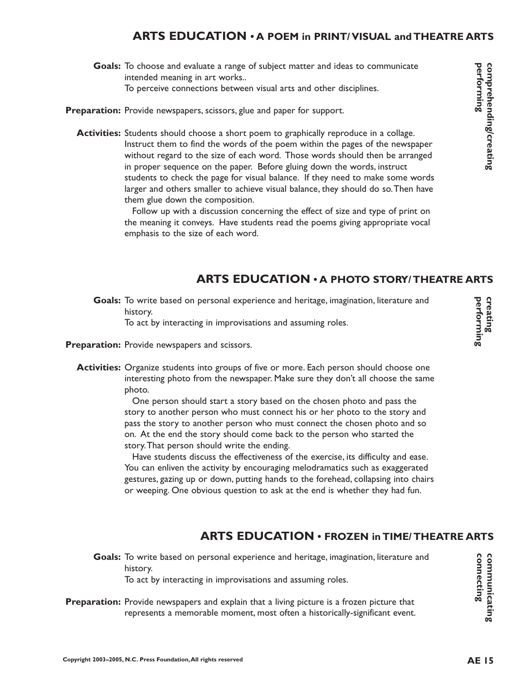# **ARTS EDUCATION • A POEM in PRINT/ VISUAL and THEATRE ARTS**

- Goals: To choose and evaluate a range of subject matter and ideas to communicate intended meaning in art works.. To perceive connections between visual arts and other disciplines.
- Preparation: Provide newspapers, scissors, glue and paper for support.
	- Activities: Students should choose a short poem to graphically reproduce in a collage. Instruct them to find the words of the poem within the pages of the newspaper without regard to the size of each word. Those words should then be arranged in proper sequence on the paper. Before gluing down the words, instruct students to check the page for visual balance. If they need to make some words larger and others smaller to achieve visual balance, they should do so.Then have them glue down the composition.

Follow up with a discussion concerning the effect of size and type of print on the meaning it conveys. Have students read the poems giving appropriate vocal emphasis to the size of each word.

# **ARTS EDUCATION • A PHOTO STORY/ THEATRE ARTS**

Goals: To write based on personal experience and heritage, imagination, literature and history.

To act by interacting in improvisations and assuming roles.

- Preparation: Provide newspapers and scissors.
	- **Activities:** Organize students into groups of five or more. Each person should choose one interesting photo from the newspaper. Make sure they don't all choose the same photo.

One person should start a story based on the chosen photo and pass the story to another person who must connect his or her photo to the story and pass the story to another person who must connect the chosen photo and so on. At the end the story should come back to the person who started the story.That person should write the ending.

Have students discuss the effectiveness of the exercise, its difficulty and ease. You can enliven the activity by encouraging melodramatics such as exaggerated gestures, gazing up or down, putting hands to the forehead, collapsing into chairs or weeping. One obvious question to ask at the end is whether they had fun.

#### **ARTS EDUCATION • FROZEN in TIME/ THEATRE ARTS**

Goals: To write based on personal experience and heritage, imagination, literature and history.

To act by interacting in improvisations and assuming roles.

Preparation: Provide newspapers and explain that a living picture is a frozen picture that represents a memorable moment, most often a historically-significant event. performing

comprehending/creating

**connecting communicating**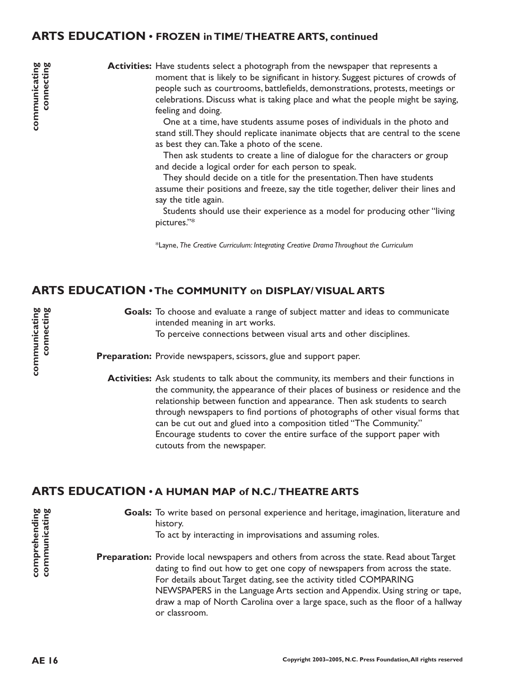### **ARTS EDUCATION • FROZEN in TIME/ THEATRE ARTS, continued**

**communicating connecting**

**Activities:** Have students select a photograph from the newspaper that represents a moment that is likely to be significant in history. Suggest pictures of crowds of people such as courtrooms, battlefields, demonstrations, protests, meetings or celebrations. Discuss what is taking place and what the people might be saying, feeling and doing.

> One at a time, have students assume poses of individuals in the photo and stand still.They should replicate inanimate objects that are central to the scene as best they can.Take a photo of the scene.

Then ask students to create a line of dialogue for the characters or group and decide a logical order for each person to speak.

They should decide on a title for the presentation.Then have students assume their positions and freeze, say the title together, deliver their lines and say the title again.

Students should use their experience as a model for producing other "living pictures."\*

\*Layne, *The Creative Curriculum: Integrating Creative Drama Throughout the Curriculum*

#### **ARTS EDUCATION • The COMMUNITY on DISPLAY/ VISUAL ARTS**

Goals: To choose and evaluate a range of subject matter and ideas to communicate intended meaning in art works. To perceive connections between visual arts and other disciplines.

Preparation: Provide newspapers, scissors, glue and support paper.

**Activities:** Ask students to talk about the community, its members and their functions in the community, the appearance of their places of business or residence and the relationship between function and appearance. Then ask students to search through newspapers to find portions of photographs of other visual forms that can be cut out and glued into a composition titled "The Community." Encourage students to cover the entire surface of the support paper with cutouts from the newspaper.

#### **ARTS EDUCATION • A HUMAN MAP of N.C./ THEATRE ARTS**

Goals: To write based on personal experience and heritage, imagination, literature and history. To act by interacting in improvisations and assuming roles. **Preparation:** Provide local newspapers and others from across the state. Read about Target dating to find out how to get one copy of newspapers from across the state. For details about Target dating, see the activity titled COMPARING NEWSPAPERS in the Language Arts section and Appendix. Using string or tape, draw a map of North Carolina over a large space, such as the floor of a hallway or classroom.

**Copyright 2003–2005, N.C. Press Foundation,All rights reserved**

**comprehending communicating**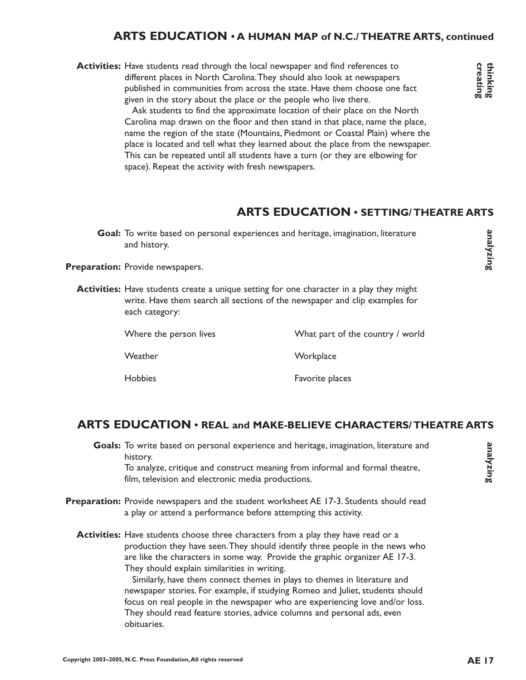#### **ARTS EDUCATION • A HUMAN MAP of N.C./ THEATRE ARTS, continued**

Activities: Have students read through the local newspaper and find references to different places in North Carolina.They should also look at newspapers published in communities from across the state. Have them choose one fact given in the story about the place or the people who live there.

> Ask students to find the approximate location of their place on the North Carolina map drawn on the floor and then stand in that place, name the place, name the region of the state (Mountains, Piedmont or Coastal Plain) where the place is located and tell what they learned about the place from the newspaper. This can be repeated until all students have a turn (or they are elbowing for space). Repeat the activity with fresh newspapers.

# **ARTS EDUCATION • SETTING/ THEATRE ARTS**

Goal: To write based on personal experiences and heritage, imagination, literature and history.

Preparation: Provide newspapers.

**Activities:** Have students create a unique setting for one character in a play they might write. Have them search all sections of the newspaper and clip examples for each category:

Where the person lives What part of the country / world

Weather Workplace

Hobbies **Favorite** places

#### **ARTS EDUCATION • REAL and MAKE-BELIEVE CHARACTERS/ THEATRE ARTS**

- Goals: To write based on personal experience and heritage, imagination, literature and history. To analyze, critique and construct meaning from informal and formal theatre, film, television and electronic media productions.
- Preparation: Provide newspapers and the student worksheet AE 17-3. Students should read a play or attend a performance before attempting this activity.
	- **Activities:** Have students choose three characters from a play they have read or a production they have seen.They should identify three people in the news who are like the characters in some way. Provide the graphic organizer AE 17-3. They should explain similarities in writing.

Similarly, have them connect themes in plays to themes in literature and newspaper stories. For example, if studying Romeo and Juliet, students should focus on real people in the newspaper who are experiencing love and/or loss. They should read feature stories, advice columns and personal ads, even obituaries.

**AE 17 CREAD AND ARTS**<br>Creating<br>Creating<br>Creating **analyzing**

thinking<br>creating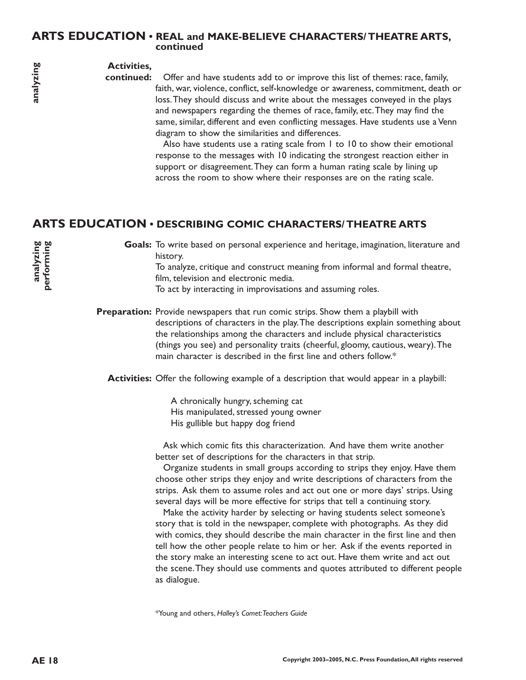#### **ARTS EDUCATION • REAL and MAKE-BELIEVE CHARACTERS/ THEATRE ARTS, continued**

#### **Activities,**

**continued:**

Offer and have students add to or improve this list of themes: race, family, faith, war, violence, conflict, self-knowledge or awareness, commitment, death or loss.They should discuss and write about the messages conveyed in the plays and newspapers regarding the themes of race, family, etc.They may find the same, similar, different and even conflicting messages. Have students use a Venn diagram to show the similarities and differences.

Also have students use a rating scale from 1 to 10 to show their emotional response to the messages with 10 indicating the strongest reaction either in support or disagreement. They can form a human rating scale by lining up across the room to show where their responses are on the rating scale.

# **ARTS EDUCATION • DESCRIBING COMIC CHARACTERS/ THEATRE ARTS**

Goals: To write based on personal experience and heritage, imagination, literature and history.

To analyze, critique and construct meaning from informal and formal theatre, film, television and electronic media.

To act by interacting in improvisations and assuming roles.

**Preparation:** Provide newspapers that run comic strips. Show them a playbill with descriptions of characters in the play.The descriptions explain something about the relationships among the characters and include physical characteristics (things you see) and personality traits (cheerful, gloomy, cautious, weary).The main character is described in the first line and others follow.\*

**Activities:** Offer the following example of a description that would appear in a playbill:

A chronically hungry, scheming cat His manipulated, stressed young owner His gullible but happy dog friend

Ask which comic fits this characterization. And have them write another better set of descriptions for the characters in that strip.

Organize students in small groups according to strips they enjoy. Have them choose other strips they enjoy and write descriptions of characters from the strips. Ask them to assume roles and act out one or more days' strips. Using several days will be more effective for strips that tell a continuing story.

Make the activity harder by selecting or having students select someone's story that is told in the newspaper, complete with photographs. As they did with comics, they should describe the main character in the first line and then tell how the other people relate to him or her. Ask if the events reported in the story make an interesting scene to act out. Have them write and act out the scene.They should use comments and quotes attributed to different people as dialogue.

\*Young and others, *Halley's Comet:Teachers Guide*

**analyzing performing**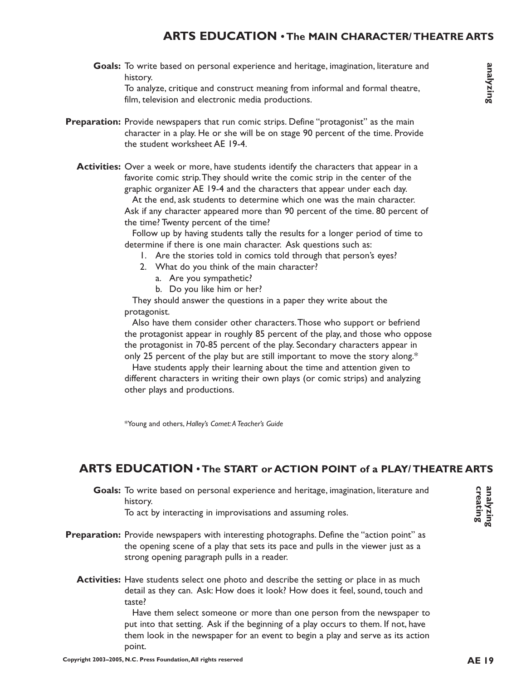# **ARTS EDUCATION • The MAIN CHARACTER/ THEATRE ARTS**

Goals: To write based on personal experience and heritage, imagination, literature and history.

To analyze, critique and construct meaning from informal and formal theatre, film, television and electronic media productions.

- Preparation: Provide newspapers that run comic strips. Define "protagonist" as the main character in a play. He or she will be on stage 90 percent of the time. Provide the student worksheet AE 19-4.
	- **Activities:** Over a week or more, have students identify the characters that appear in a favorite comic strip.They should write the comic strip in the center of the graphic organizer AE 19-4 and the characters that appear under each day.

At the end, ask students to determine which one was the main character. Ask if any character appeared more than 90 percent of the time. 80 percent of the time? Twenty percent of the time?

Follow up by having students tally the results for a longer period of time to determine if there is one main character. Ask questions such as:

- 1. Are the stories told in comics told through that person's eyes?
- 2. What do you think of the main character?
	- a. Are you sympathetic?
	- b. Do you like him or her?

They should answer the questions in a paper they write about the protagonist.

Also have them consider other characters.Those who support or befriend the protagonist appear in roughly 85 percent of the play, and those who oppose the protagonist in 70-85 percent of the play. Secondary characters appear in only 25 percent of the play but are still important to move the story along.\*

Have students apply their learning about the time and attention given to different characters in writing their own plays (or comic strips) and analyzing other plays and productions.

\*Young and others, *Halley's Comet:A Teacher's Guide*

#### **ARTS EDUCATION • The START or ACTION POINT of a PLAY/ THEATRE ARTS**

Goals: To write based on personal experience and heritage, imagination, literature and history.

To act by interacting in improvisations and assuming roles.

- Preparation: Provide newspapers with interesting photographs. Define the "action point" as the opening scene of a play that sets its pace and pulls in the viewer just as a strong opening paragraph pulls in a reader.
	- **Activities:** Have students select one photo and describe the setting or place in as much detail as they can. Ask: How does it look? How does it feel, sound, touch and taste?

Have them select someone or more than one person from the newspaper to put into that setting. Ask if the beginning of a play occurs to them. If not, have them look in the newspaper for an event to begin a play and serve as its action point.

analyzing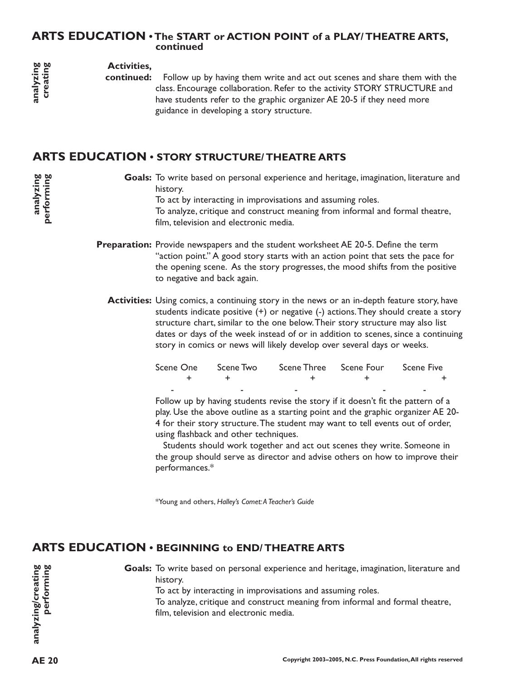#### **ARTS EDUCATION • The START or ACTION POINT of a PLAY/ THEATRE ARTS, continued**

#### **Activities,**

### **ARTS EDUCATION • STORY STRUCTURE/ THEATRE ARTS**

|  | Scene One        Scene Two        Scene Three      Scene Four        Scene Five |  |
|--|---------------------------------------------------------------------------------|--|
|  |                                                                                 |  |
|  |                                                                                 |  |

# **ARTS EDUCATION • BEGINNING to END/ THEATRE ARTS**

| analyzing<br>creating            | <b>Activities,</b><br>continued:               | Follow up by having them write and act out scenes and share them with the<br>class. Encourage collaboration. Refer to the activity STORY STRUCTURE and<br>have students refer to the graphic organizer AE 20-5 if they need more<br>guidance in developing a story structure.                                                                                                                                                                                                |                                                      |                                                                                                                                                                                                                                                               |            |                                                                                                                                                                             |
|----------------------------------|------------------------------------------------|------------------------------------------------------------------------------------------------------------------------------------------------------------------------------------------------------------------------------------------------------------------------------------------------------------------------------------------------------------------------------------------------------------------------------------------------------------------------------|------------------------------------------------------|---------------------------------------------------------------------------------------------------------------------------------------------------------------------------------------------------------------------------------------------------------------|------------|-----------------------------------------------------------------------------------------------------------------------------------------------------------------------------|
|                                  | ARTS EDUCATION . STORY STRUCTURE/ THEATRE ARTS |                                                                                                                                                                                                                                                                                                                                                                                                                                                                              |                                                      |                                                                                                                                                                                                                                                               |            |                                                                                                                                                                             |
| analyzing<br>performing          |                                                | Goals: To write based on personal experience and heritage, imagination, literature and<br>history.<br>To act by interacting in improvisations and assuming roles.<br>To analyze, critique and construct meaning from informal and formal theatre,<br>film, television and electronic media.                                                                                                                                                                                  |                                                      |                                                                                                                                                                                                                                                               |            |                                                                                                                                                                             |
|                                  |                                                | to negative and back again.                                                                                                                                                                                                                                                                                                                                                                                                                                                  |                                                      | <b>Preparation:</b> Provide newspapers and the student worksheet AE 20-5. Define the term<br>"action point." A good story starts with an action point that sets the pace for<br>the opening scene. As the story progresses, the mood shifts from the positive |            |                                                                                                                                                                             |
|                                  |                                                |                                                                                                                                                                                                                                                                                                                                                                                                                                                                              |                                                      | Activities: Using comics, a continuing story in the news or an in-depth feature story, have<br>structure chart, similar to the one below. Their story structure may also list<br>story in comics or news will likely develop over several days or weeks.      |            | students indicate positive $(+)$ or negative $(-)$ actions. They should create a story<br>dates or days of the week instead of or in addition to scenes, since a continuing |
|                                  |                                                | Scene One<br>+                                                                                                                                                                                                                                                                                                                                                                                                                                                               | Scene Two<br>+                                       | Scene Three                                                                                                                                                                                                                                                   | Scene Four | <b>Scene Five</b>                                                                                                                                                           |
|                                  |                                                | Follow up by having students revise the story if it doesn't fit the pattern of a<br>play. Use the above outline as a starting point and the graphic organizer AE 20-<br>4 for their story structure. The student may want to tell events out of order,<br>using flashback and other techniques.<br>Students should work together and act out scenes they write. Someone in<br>the group should serve as director and advise others on how to improve their<br>performances.* |                                                      |                                                                                                                                                                                                                                                               |            |                                                                                                                                                                             |
|                                  |                                                |                                                                                                                                                                                                                                                                                                                                                                                                                                                                              | *Young and others, Halley's Comet: A Teacher's Guide |                                                                                                                                                                                                                                                               |            |                                                                                                                                                                             |
|                                  | ARTS EDUCATION . BEGINNING to END/THEATRE ARTS |                                                                                                                                                                                                                                                                                                                                                                                                                                                                              |                                                      |                                                                                                                                                                                                                                                               |            |                                                                                                                                                                             |
| analyzing/creating<br>performing |                                                | history.                                                                                                                                                                                                                                                                                                                                                                                                                                                                     | film, television and electronic media.               | To act by interacting in improvisations and assuming roles.<br>To analyze, critique and construct meaning from informal and formal theatre,                                                                                                                   |            | Goals: To write based on personal experience and heritage, imagination, literature and                                                                                      |
| <b>AE 20</b>                     |                                                |                                                                                                                                                                                                                                                                                                                                                                                                                                                                              |                                                      |                                                                                                                                                                                                                                                               |            | Copyright 2003-2005, N.C. Press Foundation, All rights reserved                                                                                                             |

analyzing<br>creating

**analyzing performing**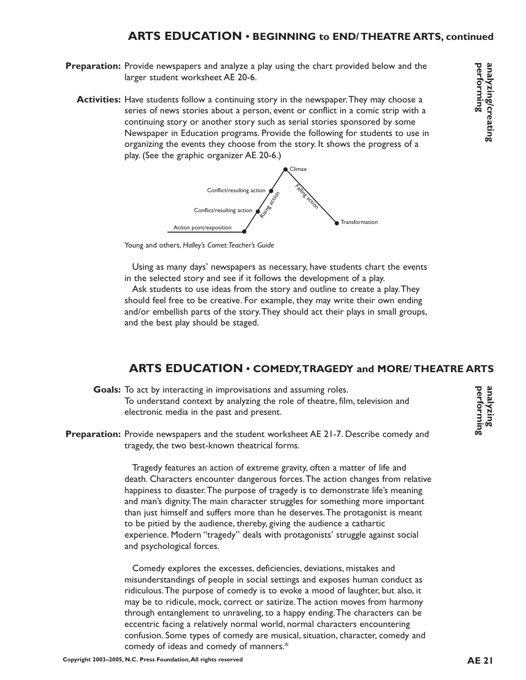# **ARTS EDUCATION • BEGINNING to END/ THEATRE ARTS, continued**

- Preparation: Provide newspapers and analyze a play using the chart provided below and the larger student worksheet AE 20-6.
	- **Activities:** Have students follow a continuing story in the newspaper. They may choose a series of news stories about a person, event or conflict in a comic strip with a continuing story or another story such as serial stories sponsored by some Newspaper in Education programs. Provide the following for students to use in organizing the events they choose from the story. It shows the progress of a play. (See the graphic organizer AE 20-6.)



Young and others, *Halley's Comet:Teacher's Guide*

Using as many days' newspapers as necessary, have students chart the events in the selected story and see if it follows the development of a play.

Ask students to use ideas from the story and outline to create a play.They should feel free to be creative. For example, they may write their own ending and/or embellish parts of the story.They should act their plays in small groups, and the best play should be staged.

#### **ARTS EDUCATION • COMEDY,TRAGEDY and MORE/ THEATRE ARTS**

- Goals: To act by interacting in improvisations and assuming roles. To understand context by analyzing the role of theatre, film, television and electronic media in the past and present.
- Preparation: Provide newspapers and the student worksheet AE 21-7. Describe comedy and tragedy, the two best-known theatrical forms.

Tragedy features an action of extreme gravity, often a matter of life and death. Characters encounter dangerous forces.The action changes from relative happiness to disaster.The purpose of tragedy is to demonstrate life's meaning and man's dignity.The main character struggles for something more important than just himself and suffers more than he deserves.The protagonist is meant to be pitied by the audience, thereby, giving the audience a cathartic experience. Modern "tragedy" deals with protagonists' struggle against social and psychological forces.

Comedy explores the excesses, deficiencies, deviations, mistakes and misunderstandings of people in social settings and exposes human conduct as ridiculous.The purpose of comedy is to evoke a mood of laughter, but also, it may be to ridicule, mock, correct or satirize.The action moves from harmony through entanglement to unraveling, to a happy ending.The characters can be eccentric facing a relatively normal world, normal characters encountering confusion. Some types of comedy are musical, situation, character, comedy and comedy of ideas and comedy of manners.\*

**performing analyzing**

performing analyzing/creating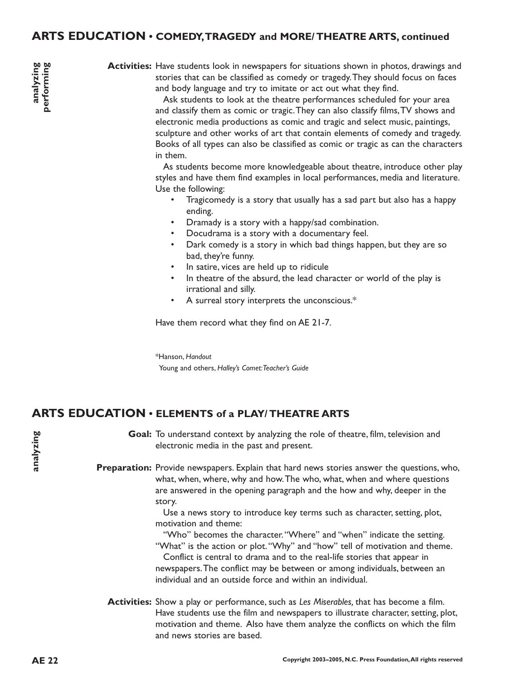#### **ARTS EDUCATION • COMEDY,TRAGEDY and MORE/ THEATRE ARTS, continued**

Activities: Have students look in newspapers for situations shown in photos, drawings and stories that can be classified as comedy or tragedy.They should focus on faces and body language and try to imitate or act out what they find.

Ask students to look at the theatre performances scheduled for your area and classify them as comic or tragic.They can also classify films,TV shows and electronic media productions as comic and tragic and select music, paintings, sculpture and other works of art that contain elements of comedy and tragedy. Books of all types can also be classified as comic or tragic as can the characters in them.

As students become more knowledgeable about theatre, introduce other play styles and have them find examples in local performances, media and literature. Use the following:

- Tragicomedy is a story that usually has a sad part but also has a happy ending.
- Dramady is a story with a happy/sad combination.
- Docudrama is a story with a documentary feel.
- Dark comedy is a story in which bad things happen, but they are so bad, they're funny.
- In satire, vices are held up to ridicule
- In theatre of the absurd, the lead character or world of the play is irrational and silly.
- A surreal story interprets the unconscious.\*

Have them record what they find on AE 21-7.

\*Hanson, *Handout* Young and others, *Halley's Comet:Teacher's Guide*

#### **ARTS EDUCATION • ELEMENTS of a PLAY/ THEATRE ARTS**

Goal: To understand context by analyzing the role of theatre, film, television and electronic media in the past and present.

Preparation: Provide newspapers. Explain that hard news stories answer the questions, who, what, when, where, why and how.The who, what, when and where questions are answered in the opening paragraph and the how and why, deeper in the story.

> Use a news story to introduce key terms such as character, setting, plot, motivation and theme:

"Who" becomes the character. "Where" and "when" indicate the setting. "What" is the action or plot."Why" and "how" tell of motivation and theme. Conflict is central to drama and to the real-life stories that appear in newspapers.The conflict may be between or among individuals, between an individual and an outside force and within an individual.

Activities: Show a play or performance, such as Les Miserables, that has become a film. Have students use the film and newspapers to illustrate character, setting, plot, motivation and theme. Also have them analyze the conflicts on which the film and news stories are based.

**analyzing**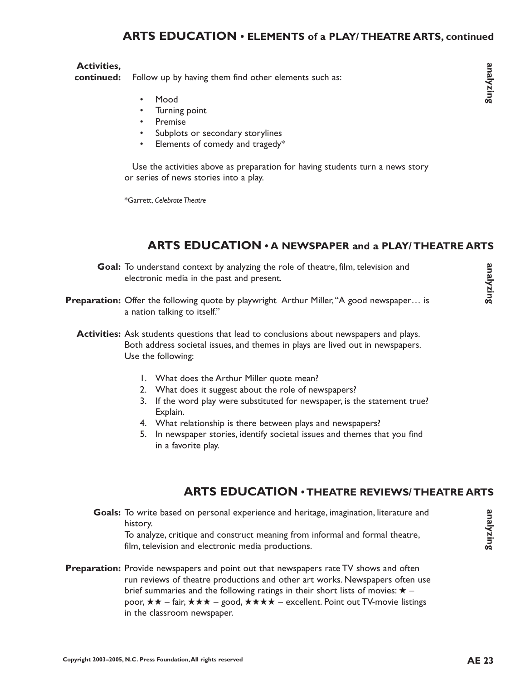# **ARTS EDUCATION • ELEMENTS of a PLAY/ THEATRE ARTS, continued**

#### **Activities,**

Follow up by having them find other elements such as: **continued:**

- Mood
- Turning point
- **Premise**
- Subplots or secondary storylines
- Elements of comedy and tragedy\*

Use the activities above as preparation for having students turn a news story or series of news stories into a play.

\*Garrett, *Celebrate Theatre*

# **ARTS EDUCATION • A NEWSPAPER and a PLAY/ THEATRE ARTS**

- Goal: To understand context by analyzing the role of theatre, film, television and electronic media in the past and present.
- Preparation: Offer the following quote by playwright Arthur Miller, "A good newspaper... is a nation talking to itself."
	- Activities: Ask students questions that lead to conclusions about newspapers and plays. Both address societal issues, and themes in plays are lived out in newspapers. Use the following:
		- 1. What does the Arthur Miller quote mean?
		- 2. What does it suggest about the role of newspapers?
		- 3. If the word play were substituted for newspaper, is the statement true? Explain.
		- 4. What relationship is there between plays and newspapers?
		- 5. In newspaper stories, identify societal issues and themes that you find in a favorite play.

#### **ARTS EDUCATION • THEATRE REVIEWS/ THEATRE ARTS**

Goals: To write based on personal experience and heritage, imagination, literature and history.

To analyze, critique and construct meaning from informal and formal theatre, film, television and electronic media productions.

Preparation: Provide newspapers and point out that newspapers rate TV shows and often run reviews of theatre productions and other art works. Newspapers often use brief summaries and the following ratings in their short lists of movies:  $\star$  – poor,  $\star \star$  – fair,  $\star \star \star$  – good,  $\star \star \star \star$  – excellent. Point out TV-movie listings in the classroom newspaper.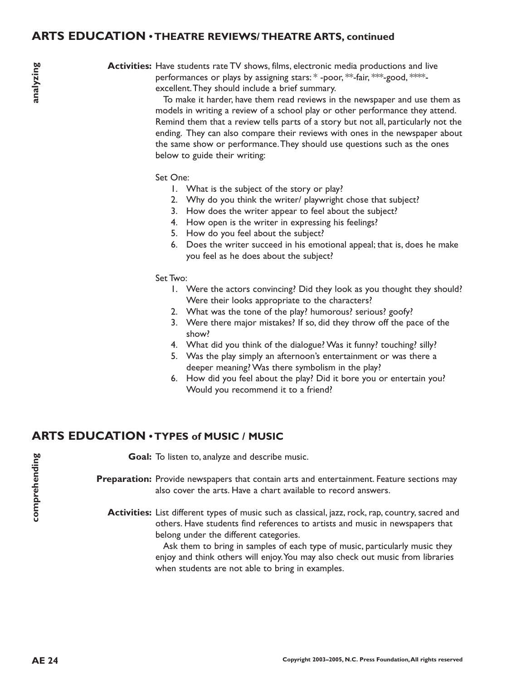#### **ARTS EDUCATION • THEATRE REVIEWS/ THEATRE ARTS, continued**

**Activities:** Have students rate TV shows, films, electronic media productions and live performances or plays by assigning stars: \* -poor, \*\*-fair, \*\*\*-good, \*\*\*\*excellent.They should include a brief summary.

> To make it harder, have them read reviews in the newspaper and use them as models in writing a review of a school play or other performance they attend. Remind them that a review tells parts of a story but not all, particularly not the ending. They can also compare their reviews with ones in the newspaper about the same show or performance.They should use questions such as the ones below to guide their writing:

#### Set One:

- 1. What is the subject of the story or play?
- 2. Why do you think the writer/ playwright chose that subject?
- 3. How does the writer appear to feel about the subject?
- 4. How open is the writer in expressing his feelings?
- 5. How do you feel about the subject?
- 6. Does the writer succeed in his emotional appeal; that is, does he make you feel as he does about the subject?

#### Set Two:

- 1. Were the actors convincing? Did they look as you thought they should? Were their looks appropriate to the characters?
- 2. What was the tone of the play? humorous? serious? goofy?
- 3. Were there major mistakes? If so, did they throw off the pace of the show?
- 4. What did you think of the dialogue? Was it funny? touching? silly?
- 5. Was the play simply an afternoon's entertainment or was there a deeper meaning? Was there symbolism in the play?
- 6. How did you feel about the play? Did it bore you or entertain you? Would you recommend it to a friend?

# **ARTS EDUCATION • TYPES of MUSIC / MUSIC**

Goal: To listen to, analyze and describe music. Preparation: Provide newspapers that contain arts and entertainment. Feature sections may also cover the arts. Have a chart available to record answers. **Activities:** List different types of music such as classical, jazz, rock, rap, country, sacred and others. Have students find references to artists and music in newspapers that belong under the different categories.

> Ask them to bring in samples of each type of music, particularly music they enjoy and think others will enjoy.You may also check out music from libraries when students are not able to bring in examples.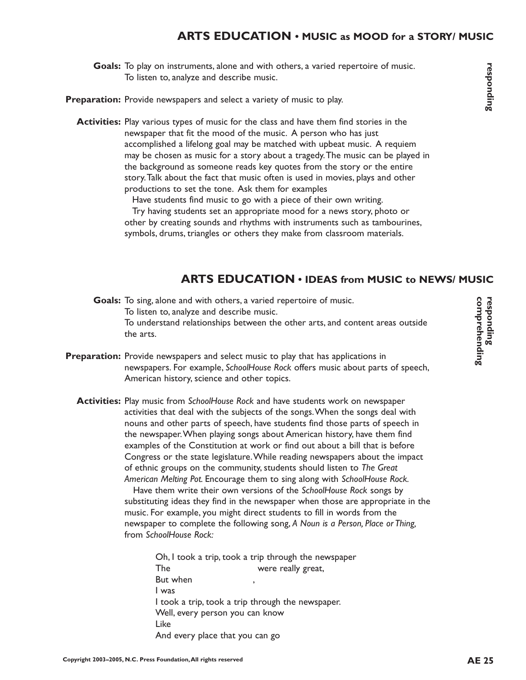# **ARTS EDUCATION • MUSIC as MOOD for a STORY/ MUSIC**

Goals: To play on instruments, alone and with others, a varied repertoire of music. To listen to, analyze and describe music.

Preparation: Provide newspapers and select a variety of music to play.

**Activities:** Play various types of music for the class and have them find stories in the newspaper that fit the mood of the music. A person who has just accomplished a lifelong goal may be matched with upbeat music. A requiem may be chosen as music for a story about a tragedy.The music can be played in the background as someone reads key quotes from the story or the entire story.Talk about the fact that music often is used in movies, plays and other productions to set the tone. Ask them for examples

> Have students find music to go with a piece of their own writing. Try having students set an appropriate mood for a news story, photo or other by creating sounds and rhythms with instruments such as tambourines, symbols, drums, triangles or others they make from classroom materials.

#### **ARTS EDUCATION • IDEAS from MUSIC to NEWS/ MUSIC**

Goals: To sing, alone and with others, a varied repertoire of music. To listen to, analyze and describe music. To understand relationships between the other arts, and content areas outside the arts.

- **Preparation:** Provide newspapers and select music to play that has applications in newspapers. For example, *SchoolHouse Rock* offers music about parts of speech, American history, science and other topics.
	- Activities: Play music from SchoolHouse Rock and have students work on newspaper activities that deal with the subjects of the songs.When the songs deal with nouns and other parts of speech, have students find those parts of speech in the newspaper.When playing songs about American history, have them find examples of the Constitution at work or find out about a bill that is before Congress or the state legislature.While reading newspapers about the impact of ethnic groups on the community, students should listen to *The Great American Melting Pot.* Encourage them to sing along with *SchoolHouse Rock.*

Have them write their own versions of the *SchoolHouse Rock* songs by substituting ideas they find in the newspaper when those are appropriate in the music. For example, you might direct students to fill in words from the newspaper to complete the following song, *A Noun is a Person, Place or Thing,* from *SchoolHouse Rock:*

Oh, I took a trip, took a trip through the newspaper The were really great, But when I was I took a trip, took a trip through the newspaper. Well, every person you can know Like And every place that you can go

**responding esponding**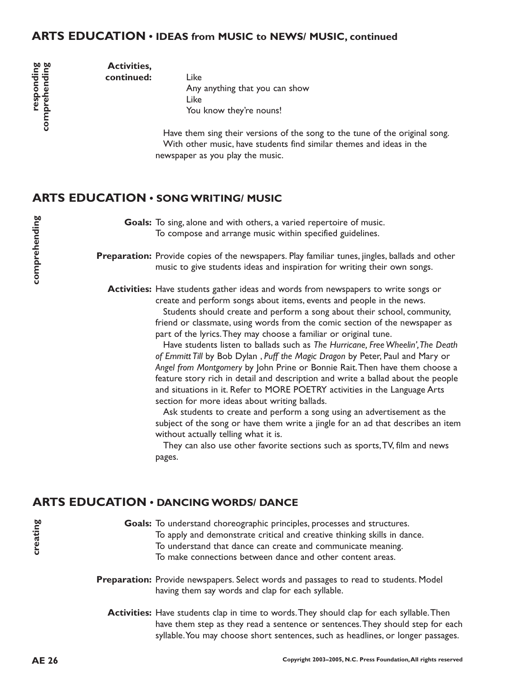#### **ARTS EDUCATION • IDEAS from MUSIC to NEWS/ MUSIC, continued**

responding<br>comprehending **responding comprehending**

Like Any anything that you can show Like You know they're nouns!

Have them sing their versions of the song to the tune of the original song. With other music, have students find similar themes and ideas in the newspaper as you play the music.

#### **ARTS EDUCATION • SONG WRITING/ MUSIC**

**Activities, continued:**

> Goals: To sing, alone and with others, a varied repertoire of music. To compose and arrange music within specified guidelines.

Preparation: Provide copies of the newspapers. Play familiar tunes, jingles, ballads and other music to give students ideas and inspiration for writing their own songs.

**Activities:** Have students gather ideas and words from newspapers to write songs or create and perform songs about items, events and people in the news.

> Students should create and perform a song about their school, community, friend or classmate, using words from the comic section of the newspaper as part of the lyrics.They may choose a familiar or original tune.

Have students listen to ballads such as *The Hurricane, Free Wheelin',The Death of Emmitt Till* by Bob Dylan , *Puff the Magic Dragon* by Peter, Paul and Mary or *Angel from Montgomery* by John Prine or Bonnie Rait.Then have them choose a feature story rich in detail and description and write a ballad about the people and situations in it. Refer to MORE POETRY activities in the Language Arts section for more ideas about writing ballads.

Ask students to create and perform a song using an advertisement as the subject of the song or have them write a jingle for an ad that describes an item without actually telling what it is.

They can also use other favorite sections such as sports,TV, film and news pages.

# **ARTS EDUCATION • DANCING WORDS/ DANCE**

Goals: To understand choreographic principles, processes and structures. To apply and demonstrate critical and creative thinking skills in dance. To understand that dance can create and communicate meaning. To make connections between dance and other content areas.

- Preparation: Provide newspapers. Select words and passages to read to students. Model having them say words and clap for each syllable.
	- **Activities:** Have students clap in time to words.They should clap for each syllable.Then have them step as they read a sentence or sentences.They should step for each syllable. You may choose short sentences, such as headlines, or longer passages.

**creating**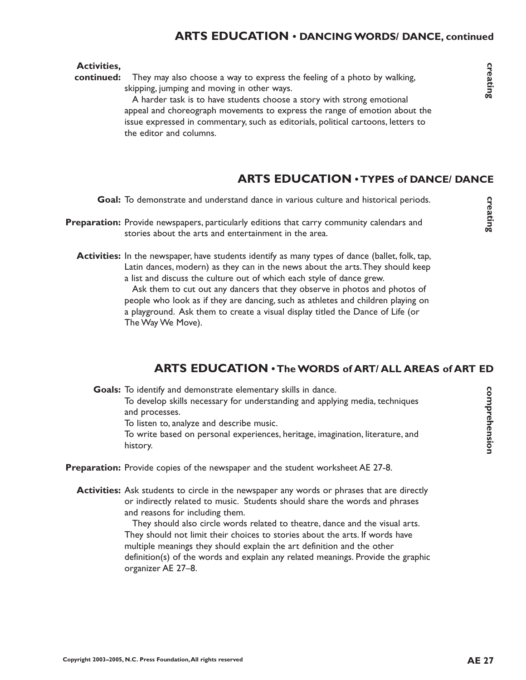#### **ARTS EDUCATION • DANCING WORDS/ DANCE, continued**

#### **Activities,**

They may also choose a way to express the feeling of a photo by walking, skipping, jumping and moving in other ways. **continued:**

A harder task is to have students choose a story with strong emotional appeal and choreograph movements to express the range of emotion about the issue expressed in commentary, such as editorials, political cartoons, letters to the editor and columns.

#### **ARTS EDUCATION • TYPES of DANCE/ DANCE**

Goal: To demonstrate and understand dance in various culture and historical periods.

- Preparation: Provide newspapers, particularly editions that carry community calendars and stories about the arts and entertainment in the area.
	- **Activities:** In the newspaper, have students identify as many types of dance (ballet, folk, tap, Latin dances, modern) as they can in the news about the arts.They should keep a list and discuss the culture out of which each style of dance grew.

Ask them to cut out any dancers that they observe in photos and photos of people who look as if they are dancing, such as athletes and children playing on a playground. Ask them to create a visual display titled the Dance of Life (or The Way We Move). **EXECUTE:** and understand dance in various culture and historical periods.<br> **AREX** rewspapers, particularly editions that carry community calendars and<br>
about the arts and entertainment in the area.<br> **EXECUTE:** experiment

Goals: To identify and demonstrate elementary skills in dance. To develop skills necessary for understanding and applying media, techniques and processes. To listen to, analyze and describe music.

To write based on personal experiences, heritage, imagination, literature, and history.

- Preparation: Provide copies of the newspaper and the student worksheet AE 27-8.
	- **Activities:** Ask students to circle in the newspaper any words or phrases that are directly or indirectly related to music. Students should share the words and phrases and reasons for including them.

They should also circle words related to theatre, dance and the visual arts. They should not limit their choices to stories about the arts. If words have multiple meanings they should explain the art definition and the other definition(s) of the words and explain any related meanings. Provide the graphic organizer AE 27–8.

creating

**comprehension**

comprehension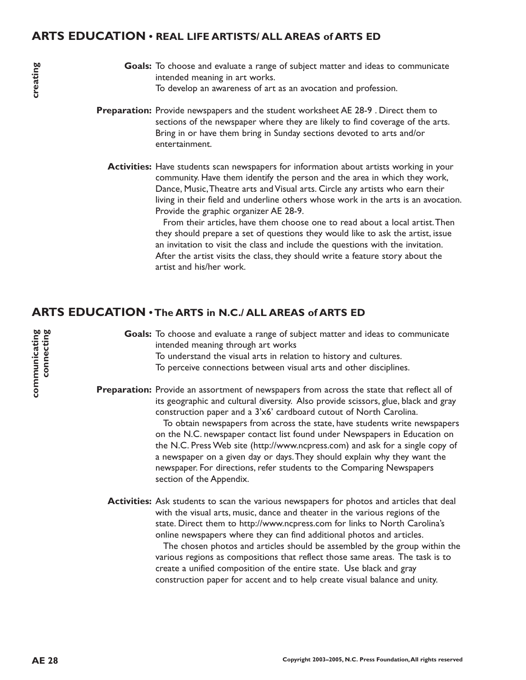#### **ARTS EDUCATION • REAL LIFE ARTISTS/ ALL AREAS of ARTS ED**

- Goals: To choose and evaluate a range of subject matter and ideas to communicate intended meaning in art works. To develop an awareness of art as an avocation and profession.
- **Preparation:** Provide newspapers and the student worksheet AE 28-9. Direct them to sections of the newspaper where they are likely to find coverage of the arts. Bring in or have them bring in Sunday sections devoted to arts and/or entertainment.
	- Activities: Have students scan newspapers for information about artists working in your community. Have them identify the person and the area in which they work, Dance, Music,Theatre arts and Visual arts. Circle any artists who earn their living in their field and underline others whose work in the arts is an avocation. Provide the graphic organizer AE 28-9.

From their articles, have them choose one to read about a local artist.Then they should prepare a set of questions they would like to ask the artist, issue an invitation to visit the class and include the questions with the invitation. After the artist visits the class, they should write a feature story about the artist and his/her work.

#### **ARTS EDUCATION • The ARTS in N.C./ ALL AREAS of ARTS ED**

Goals: To choose and evaluate a range of subject matter and ideas to communicate intended meaning through art works To understand the visual arts in relation to history and cultures. To perceive connections between visual arts and other disciplines.

**Preparation:** Provide an assortment of newspapers from across the state that reflect all of its geographic and cultural diversity. Also provide scissors, glue, black and gray construction paper and a 3'x6' cardboard cutout of North Carolina. To obtain newspapers from across the state, have students write newspapers on the N.C. newspaper contact list found under Newspapers in Education on the N.C. Press Web site (http://www.ncpress.com) and ask for a single copy of a newspaper on a given day or days.They should explain why they want the newspaper. For directions, refer students to the Comparing Newspapers section of the Appendix.

Activities: Ask students to scan the various newspapers for photos and articles that deal with the visual arts, music, dance and theater in the various regions of the state. Direct them to http://www.ncpress.com for links to North Carolina's online newspapers where they can find additional photos and articles.

The chosen photos and articles should be assembled by the group within the various regions as compositions that reflect those same areas. The task is to create a unified composition of the entire state. Use black and gray construction paper for accent and to help create visual balance and unity.

creating